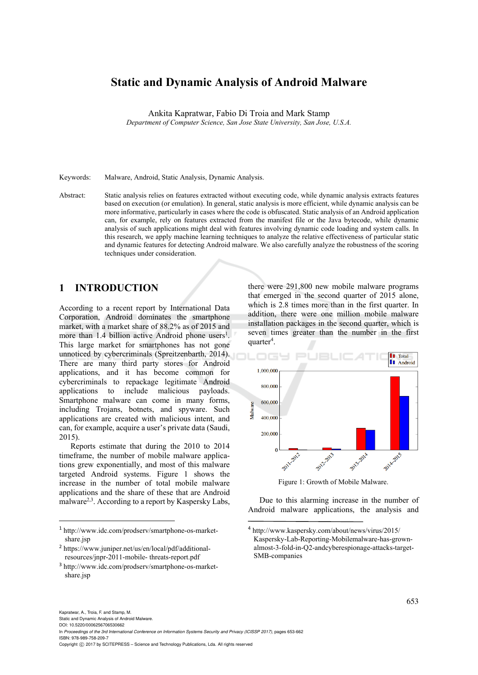# **Static and Dynamic Analysis of Android Malware**

Ankita Kapratwar, Fabio Di Troia and Mark Stamp

*Department of Computer Science, San Jose State University, San Jose, U.S.A.* 

Keywords: Malware, Android, Static Analysis, Dynamic Analysis.

Abstract: Static analysis relies on features extracted without executing code, while dynamic analysis extracts features based on execution (or emulation). In general, static analysis is more efficient, while dynamic analysis can be more informative, particularly in cases where the code is obfuscated. Static analysis of an Android application can, for example, rely on features extracted from the manifest file or the Java bytecode, while dynamic analysis of such applications might deal with features involving dynamic code loading and system calls. In this research, we apply machine learning techniques to analyze the relative effectiveness of particular static and dynamic features for detecting Android malware. We also carefully analyze the robustness of the scoring techniques under consideration.

# **1 INTRODUCTION**

According to a recent report by International Data Corporation, Android dominates the smartphone market, with a market share of 88.2% as of 2015 and more than  $1.4$  billion active Android phone users<sup>1</sup>. This large market for smartphones has not gone unnoticed by cybercriminals (Spreitzenbarth, 2014). There are many third party stores for Android applications, and it has become common for cybercriminals to repackage legitimate Android applications to include malicious payloads. Smartphone malware can come in many forms, including Trojans, botnets, and spyware. Such applications are created with malicious intent, and can, for example, acquire a user's private data (Saudi, 2015).

Reports estimate that during the 2010 to 2014 timeframe, the number of mobile malware applications grew exponentially, and most of this malware targeted Android systems. Figure 1 shows the increase in the number of total mobile malware applications and the share of these that are Android malware<sup>2,3</sup>. According to a report by Kaspersky Labs,

<sup>1</sup> http://www.idc.com/prodserv/smartphone-os-marketshare.jsp

there were 291,800 new mobile malware programs that emerged in the second quarter of 2015 alone, which is 2.8 times more than in the first quarter. In addition, there were one million mobile malware installation packages in the second quarter, which is seven times greater than the number in the first quarter<sup>4</sup>.



Figure 1: Growth of Mobile Malware.

Due to this alarming increase in the number of Android malware applications, the analysis and

 $\overline{a}$ 

Static and Dynamic Analysis of Android Malware. DOI: 10.5220/0006256706530662

Copyright © 2017 by SCITEPRESS - Science and Technology Publications, Lda. All rights reserved

<sup>2</sup> https://www.juniper.net/us/en/local/pdf/additionalresources/jnpr-2011-mobile- threats-report.pdf

<sup>3</sup> http://www.idc.com/prodserv/smartphone-os-marketshare.jsp

<sup>4</sup> http://www.kaspersky.com/about/news/virus/2015/ Kaspersky-Lab-Reporting-Mobilemalware-has-grownalmost-3-fold-in-Q2-andcyberespionage-attacks-target-SMB-companies

In *Proceedings of the 3rd International Conference on Information Systems Security and Privacy (ICISSP 2017)*, pages 653-662 ISBN: 978-989-758-209-7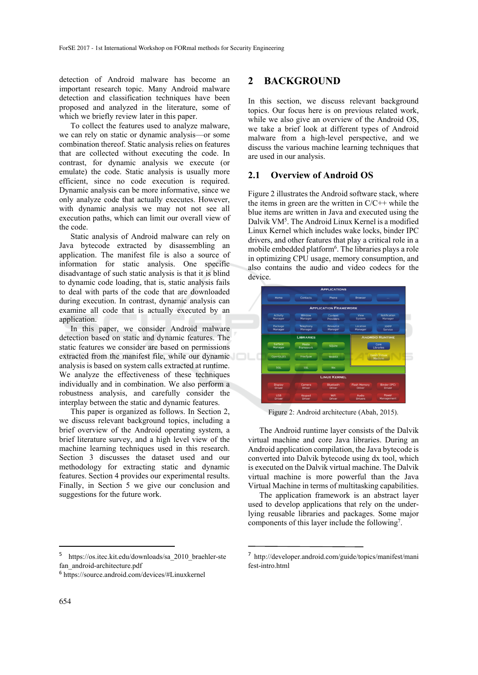detection of Android malware has become an important research topic. Many Android malware detection and classification techniques have been proposed and analyzed in the literature, some of which we briefly review later in this paper.

To collect the features used to analyze malware, we can rely on static or dynamic analysis—or some combination thereof. Static analysis relies on features that are collected without executing the code. In contrast, for dynamic analysis we execute (or emulate) the code. Static analysis is usually more efficient, since no code execution is required. Dynamic analysis can be more informative, since we only analyze code that actually executes. However, with dynamic analysis we may not not see all execution paths, which can limit our overall view of the code.

Static analysis of Android malware can rely on Java bytecode extracted by disassembling an application. The manifest file is also a source of information for static analysis. One specific disadvantage of such static analysis is that it is blind to dynamic code loading, that is, static analysis fails to deal with parts of the code that are downloaded during execution. In contrast, dynamic analysis can examine all code that is actually executed by an application.

In this paper, we consider Android malware detection based on static and dynamic features. The static features we consider are based on permissions extracted from the manifest file, while our dynamic analysis is based on system calls extracted at runtime. We analyze the effectiveness of these techniques individually and in combination. We also perform a robustness analysis, and carefully consider the interplay between the static and dynamic features.

This paper is organized as follows. In Section 2, we discuss relevant background topics, including a brief overview of the Android operating system, a brief literature survey, and a high level view of the machine learning techniques used in this research. Section 3 discusses the dataset used and our methodology for extracting static and dynamic features. Section 4 provides our experimental results. Finally, in Section 5 we give our conclusion and suggestions for the future work.

## **2 BACKGROUND**

In this section, we discuss relevant background topics. Our focus here is on previous related work, while we also give an overview of the Android OS. we take a brief look at different types of Android malware from a high-level perspective, and we discuss the various machine learning techniques that are used in our analysis.

# **2.1 Overview of Android OS**

Figure 2 illustrates the Android software stack, where the items in green are the written in  $C/C++$  while the blue items are written in Java and executed using the Dalvik VM<sup>5</sup>. The Android Linux Kernel is a modified Linux Kernel which includes wake locks, binder IPC drivers, and other features that play a critical role in a mobile embedded platform<sup>6</sup>. The libraries plays a role in optimizing CPU usage, memory consumption, and also contains the audio and video codecs for the device.



Figure 2: Android architecture (Abah, 2015).

The Android runtime layer consists of the Dalvik virtual machine and core Java libraries. During an Android application compilation, the Java bytecode is converted into Dalvik bytecode using dx tool, which is executed on the Dalvik virtual machine. The Dalvik virtual machine is more powerful than the Java Virtual Machine in terms of multitasking capabilities.

The application framework is an abstract layer used to develop applications that rely on the underlying reusable libraries and packages. Some major components of this layer include the following<sup>7</sup>.

 $\overline{\phantom{a}}$ 

<sup>5</sup> https://os.itec.kit.edu/downloads/sa\_2010\_braehler-ste fan\_android-architecture.pdf

<sup>6</sup> https://source.android.com/devices/#Linuxkernel

<sup>7</sup> http://developer.android.com/guide/topics/manifest/mani fest-intro.html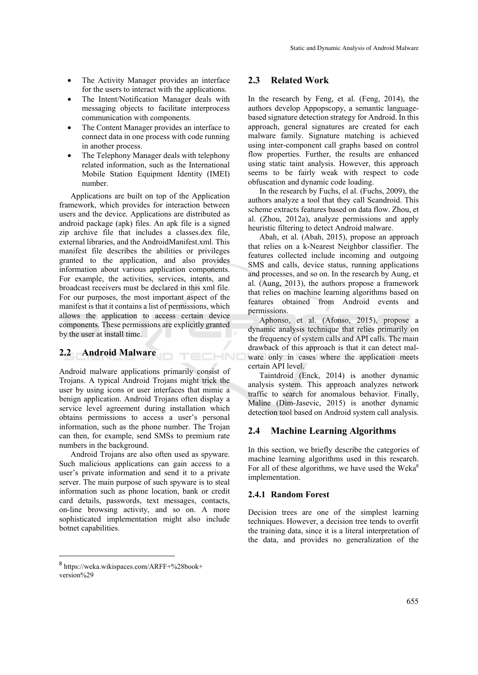- The Activity Manager provides an interface for the users to interact with the applications.
- The Intent/Notification Manager deals with messaging objects to facilitate interprocess communication with components.
- The Content Manager provides an interface to connect data in one process with code running in another process.
- The Telephony Manager deals with telephony related information, such as the International Mobile Station Equipment Identity (IMEI) number.

Applications are built on top of the Application framework, which provides for interaction between users and the device. Applications are distributed as android package (apk) files. An apk file is a signed zip archive file that includes a classes.dex file, external libraries, and the AndroidManifest.xml. This manifest file describes the abilities or privileges granted to the application, and also provides information about various application components. For example, the activities, services, intents, and broadcast receivers must be declared in this xml file. For our purposes, the most important aspect of the manifest is that it contains a list of permissions, which allows the application to access certain device components. These permissions are explicitly granted by the user at install time.

# **2.2 Android Malware**

Android malware applications primarily consist of Trojans. A typical Android Trojans might trick the user by using icons or user interfaces that mimic a benign application. Android Trojans often display a service level agreement during installation which obtains permissions to access a user's personal information, such as the phone number. The Trojan can then, for example, send SMSs to premium rate numbers in the background.

TECHNO

Android Trojans are also often used as spyware. Such malicious applications can gain access to a user's private information and send it to a private server. The main purpose of such spyware is to steal information such as phone location, bank or credit card details, passwords, text messages, contacts, on-line browsing activity, and so on. A more sophisticated implementation might also include botnet capabilities.

### **2.3 Related Work**

In the research by Feng, et al. (Feng, 2014), the authors develop Appopscopy, a semantic languagebased signature detection strategy for Android. In this approach, general signatures are created for each malware family. Signature matching is achieved using inter-component call graphs based on control flow properties. Further, the results are enhanced using static taint analysis. However, this approach seems to be fairly weak with respect to code obfuscation and dynamic code loading.

In the research by Fuchs, el al. (Fuchs, 2009), the authors analyze a tool that they call Scandroid. This scheme extracts features based on data flow. Zhou, et al. (Zhou, 2012a), analyze permissions and apply heuristic filtering to detect Android malware.

Abah, et al. (Abah, 2015), propose an approach that relies on a k-Nearest Neighbor classifier. The features collected include incoming and outgoing SMS and calls, device status, running applications and processes, and so on. In the research by Aung, et al. (Aung, 2013), the authors propose a framework that relies on machine learning algorithms based on features obtained from Android events and permissions.

Aphonso, et al. (Afonso, 2015), propose a dynamic analysis technique that relies primarily on the frequency of system calls and API calls. The main drawback of this approach is that it can detect malware only in cases where the application meets certain API level.

Taintdroid (Enck, 2014) is another dynamic analysis system. This approach analyzes network traffic to search for anomalous behavior. Finally, Maline (Dim-Jasevic, 2015) is another dynamic detection tool based on Android system call analysis.

## **2.4 Machine Learning Algorithms**

In this section, we briefly describe the categories of machine learning algorithms used in this research. For all of these algorithms, we have used the Weka<sup>8</sup> implementation.

#### **2.4.1 Random Forest**

Decision trees are one of the simplest learning techniques. However, a decision tree tends to overfit the training data, since it is a literal interpretation of the data, and provides no generalization of the

 $\overline{a}$ 

<sup>8</sup> https://weka.wikispaces.com/ARFF+%28book+ version%29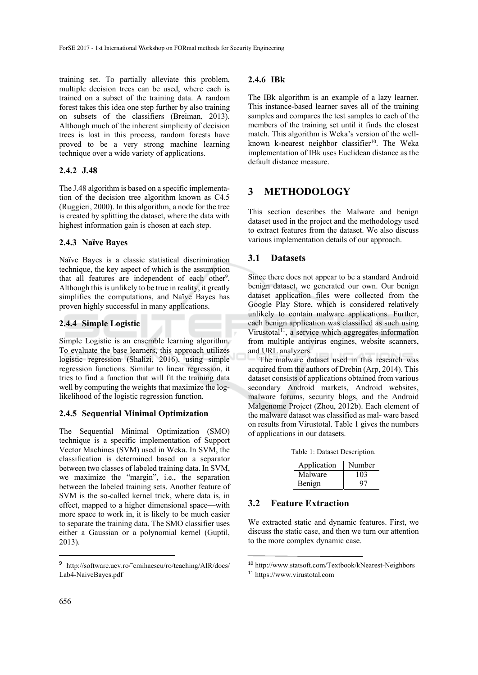training set. To partially alleviate this problem, multiple decision trees can be used, where each is trained on a subset of the training data. A random forest takes this idea one step further by also training on subsets of the classifiers (Breiman, 2013). Although much of the inherent simplicity of decision trees is lost in this process, random forests have proved to be a very strong machine learning technique over a wide variety of applications.

### **2.4.2 J.48**

The J.48 algorithm is based on a specific implementation of the decision tree algorithm known as C4.5 (Ruggieri, 2000). In this algorithm, a node for the tree is created by splitting the dataset, where the data with highest information gain is chosen at each step.

### **2.4.3 Naïve Bayes**

Naïve Bayes is a classic statistical discrimination technique, the key aspect of which is the assumption that all features are independent of each other<sup>9</sup>. Although this is unlikely to be true in reality, it greatly simplifies the computations, and Naïve Bayes has proven highly successful in many applications.

### **2.4.4 Simple Logistic**

Simple Logistic is an ensemble learning algorithm. To evaluate the base learners, this approach utilizes logistic regression (Shalizi, 2016), using simple regression functions. Similar to linear regression, it tries to find a function that will fit the training data well by computing the weights that maximize the loglikelihood of the logistic regression function.

### **2.4.5 Sequential Minimal Optimization**

The Sequential Minimal Optimization (SMO) technique is a specific implementation of Support Vector Machines (SVM) used in Weka. In SVM, the classification is determined based on a separator between two classes of labeled training data. In SVM, we maximize the "margin", i.e., the separation between the labeled training sets. Another feature of SVM is the so-called kernel trick, where data is, in effect, mapped to a higher dimensional space—with more space to work in, it is likely to be much easier to separate the training data. The SMO classifier uses either a Gaussian or a polynomial kernel (Guptil, 2013).

### **2.4.6 IBk**

The IBk algorithm is an example of a lazy learner. This instance-based learner saves all of the training samples and compares the test samples to each of the members of the training set until it finds the closest match. This algorithm is Weka's version of the wellknown k-nearest neighbor classifier<sup>10</sup>. The Weka implementation of IBk uses Euclidean distance as the default distance measure.

# **3 METHODOLOGY**

This section describes the Malware and benign dataset used in the project and the methodology used to extract features from the dataset. We also discuss various implementation details of our approach.

# **3.1 Datasets**

Since there does not appear to be a standard Android benign dataset, we generated our own. Our benign dataset application files were collected from the Google Play Store, which is considered relatively unlikely to contain malware applications. Further, each benign application was classified as such using Virustotal<sup>11</sup>, a service which aggregates information from multiple antivirus engines, website scanners, and URL analyzers.

The malware dataset used in this research was acquired from the authors of Drebin (Arp, 2014). This dataset consists of applications obtained from various secondary Android markets, Android websites, malware forums, security blogs, and the Android Malgenome Project (Zhou, 2012b). Each element of the malware dataset was classified as mal- ware based on results from Virustotal. Table 1 gives the numbers of applications in our datasets.

Table 1: Dataset Description.

| Application | Number |
|-------------|--------|
| Malware     | 103    |
| Benign      | 97     |

## **3.2 Feature Extraction**

We extracted static and dynamic features. First, we discuss the static case, and then we turn our attention to the more complex dynamic case.

 $\overline{\phantom{a}}$ 

<sup>9</sup> http://software.ucv.ro/˜cmihaescu/ro/teaching/AIR/docs/ Lab4-NaiveBayes.pdf

<sup>10</sup> http://www.statsoft.com/Textbook/kNearest-Neighbors

<sup>11</sup> https://www.virustotal.com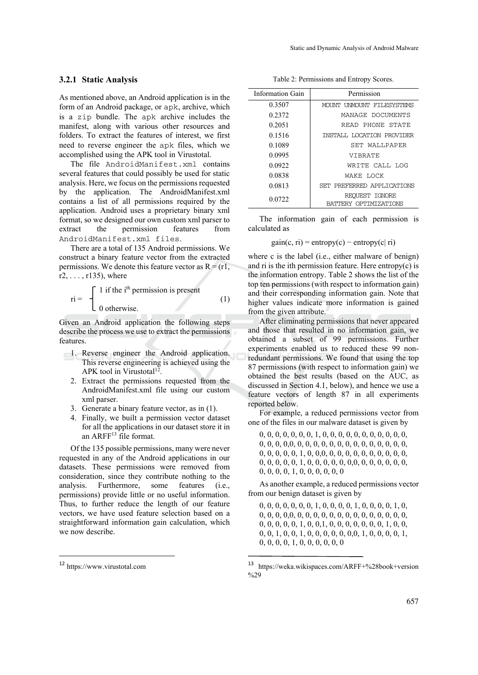### **3.2.1 Static Analysis**

As mentioned above, an Android application is in the form of an Android package, or apk, archive, which is a zip bundle. The apk archive includes the manifest, along with various other resources and folders. To extract the features of interest, we first need to reverse engineer the apk files, which we accomplished using the APK tool in Virustotal.

The file AndroidManifest.xml contains several features that could possibly be used for static analysis. Here, we focus on the permissions requested by the application. The AndroidManifest.xml contains a list of all permissions required by the application. Android uses a proprietary binary xml format, so we designed our own custom xml parser to extract the permission features from AndroidManifest.xml files.

There are a total of 135 Android permissions. We construct a binary feature vector from the extracted permissions. We denote this feature vector as  $R = (r1,$  $r2, \ldots, r135$ ), where

$$
\text{ri} = \begin{cases} 1 \text{ if the } i^{\text{th}} \text{ permission is present} \\ 0 \text{ otherwise.} \end{cases} \tag{1}
$$

Given an Android application the following steps describe the process we use to extract the permissions features.

- 1. Reverse engineer the Android application. This reverse engineering is achieved using the APK tool in Virustotal<sup>12</sup>.
	- 2. Extract the permissions requested from the AndroidManifest.xml file using our custom xml parser.
	- 3. Generate a binary feature vector, as in (1).
	- 4. Finally, we built a permission vector dataset for all the applications in our dataset store it in an ARFF<sup>13</sup> file format.

Of the 135 possible permissions, many were never requested in any of the Android applications in our datasets. These permissions were removed from consideration, since they contribute nothing to the analysis. Furthermore, some features (i.e., permissions) provide little or no useful information. Thus, to further reduce the length of our feature vectors, we have used feature selection based on a straightforward information gain calculation, which we now describe.

 $\overline{a}$ 

Table 2: Permissions and Entropy Scores.

| Information Gain | Permission                              |  |  |
|------------------|-----------------------------------------|--|--|
| 0.3507           | MOUNT UNMOUNT FILESYSTEMS               |  |  |
| 0.2372           | MANAGE DOCUMENTS                        |  |  |
| 0.2051           | READ PHONE STATE                        |  |  |
| 0.1516           | INSTALL LOCATION PROVIDER               |  |  |
| 0.1089           | SET WALLPAPER                           |  |  |
| 0.0995           | <b>VIBRATE</b>                          |  |  |
| 0.0922           | WRITE CALL LOG                          |  |  |
| 0.0838           | WAKE LOCK                               |  |  |
| 0.0813           | SET PREFERRED APPLICATIONS              |  |  |
| 0.0722           | REQUEST IGNORE<br>BATTERY OPTIMIZATIONS |  |  |

The information gain of each permission is calculated as

$$
gain(c, ri) = entropy(c) - entropy(c|ri)
$$

where c is the label (*i.e.*, either malware of benign) and ri is the ith permission feature. Here entropy $(c)$  is the information entropy. Table 2 shows the list of the top ten permissions (with respect to information gain) and their corresponding information gain. Note that higher values indicate more information is gained from the given attribute.

After eliminating permissions that never appeared and those that resulted in no information gain, we obtained a subset of 99 permissions. Further experiments enabled us to reduced these 99 nonredundant permissions. We found that using the top 87 permissions (with respect to information gain) we obtained the best results (based on the AUC, as discussed in Section 4.1, below), and hence we use a feature vectors of length 87 in all experiments reported below.

For example, a reduced permissions vector from one of the files in our malware dataset is given by

0, 0, 0, 0, 0, 0, 0, 1, 0, 0, 0, 0, 0, 0, 0, 0, 0, 0, 0, 0, 0, 0, 0,0, 0, 0, 0, 0, 0, 0, 0, 0, 0, 0, 0, 0, 0, 0, 0, 0, 0, 0, 0, 1, 0, 0,0, 0, 0, 0, 0, 0, 0, 0, 0, 0, 0, 0, 0, 0, 0, 0, 1, 0, 0, 0, 0, 0, 0,0, 0, 0, 0, 0, 0, 0, 0, 0, 0, 0, 1, 0, 0, 0, 0, 0, 0

As another example, a reduced permissions vector from our benign dataset is given by

0, 0, 0, 0, 0, 0, 0, 1, 0, 0, 0, 0, 1, 0, 0, 0, 0, 1, 0, 0, 0, 0, 0,0, 0, 0, 0, 0, 0, 0, 0, 0, 0, 0, 0, 0, 0, 0, 0, 0, 0, 0, 0, 1, 0, 0,1, 0, 0, 0, 0, 0, 0, 0, 1, 0, 0, 0, 0, 1, 0, 0, 1, 0, 0, 0, 0, 0, 0,0, 1, 0, 0, 0, 0, 1, 0, 0, 0, 0, 1, 0, 0, 0, 0, 0, 0

<sup>12</sup> https://www.virustotal.com

<sup>13</sup> https://weka.wikispaces.com/ARFF+%28book+version %29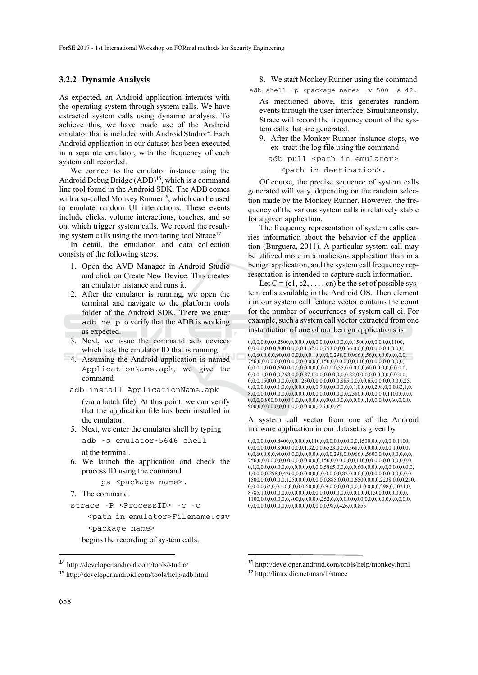### **3.2.2 Dynamic Analysis**

As expected, an Android application interacts with the operating system through system calls. We have extracted system calls using dynamic analysis. To achieve this, we have made use of the Android emulator that is included with Android Studio<sup>14</sup>. Each Android application in our dataset has been executed in a separate emulator, with the frequency of each system call recorded.

We connect to the emulator instance using the Android Debug Bridge  $(ADB)^{15}$ , which is a command line tool found in the Android SDK. The ADB comes with a so-called Monkey Runner<sup>16</sup>, which can be used to emulate random UI interactions. These events include clicks, volume interactions, touches, and so on, which trigger system calls. We record the resulting system calls using the monitoring tool Strace<sup>17</sup>

In detail, the emulation and data collection consists of the following steps.

- 1. Open the AVD Manager in Android Studio and click on Create New Device. This creates an emulator instance and runs it.
- 2. After the emulator is running, we open the terminal and navigate to the platform tools folder of the Android SDK. There we enter adb help to verify that the ADB is working as expected.
- 3. Next, we issue the command adb devices which lists the emulator ID that is running.
- 4. Assuming the Android application is named ApplicationName.apk, we give the command
	- adb install ApplicationName.apk

(via a batch file). At this point, we can verify that the application file has been installed in the emulator.

5. Next, we enter the emulator shell by typing

adb -s emulator-5646 shell

at the terminal.

6. We launch the application and check the process ID using the command

```
ps <package name>.
```

```
7. The command
```

```
strace -P <ProcessID> -c -o
```
<path in emulator>Filename.csv <package name>

begins the recording of system calls.

### 8. We start Monkey Runner using the command

adb shell -p <package name> -v 500 -s 42.

As mentioned above, this generates random events through the user interface. Simultaneously, Strace will record the frequency count of the system calls that are generated.

9. After the Monkey Runner instance stops, we ex- tract the log file using the command

adb pull <path in emulator>

<path in destination>.

Of course, the precise sequence of system calls generated will vary, depending on the random selection made by the Monkey Runner. However, the frequency of the various system calls is relatively stable for a given application.

The frequency representation of system calls carries information about the behavior of the application (Burguera, 2011). A particular system call may be utilized more in a malicious application than in a benign application, and the system call frequency representation is intended to capture such information.

Let  $C = (c1, c2, \ldots, cn)$  be the set of possible system calls available in the Android OS. Then element i in our system call feature vector contains the count for the number of occurrences of system call ci. For example, such a system call vector extracted from one instantiation of one of our benign applications is

0,0,0,0,0,0,0,2500,0,0,0,0,0,0,0,0,0,0,0,0,0,0,0,1500,0,0,0,0,0,0,1100, 0,0,0,0,0,0,0,800,0,0,0,0,1,32,0,0,753,0,0,0,36,0,0,0,0,0,0,0,0,1,0,0,0, 0,0,60,0,0,0,90,0,0,0,0,0,0,0,1,0,0,0,0,298,0,0,966,0,56,0,0,0,0,0,0,0,0, 756,0,0,0,0,0,0,0,0,0,0,0,0,0,0,0,150,0,0,0,0,0,0,110,0,0,0,0,0,0,0,0,0, 0,0,0,1,0,0,0,660,0,0,0,0,0,0,0,0,0,0,0,0,55,0,0,0,0,0,60,0,0,0,0,0,0,0,0, 0,0,0,1,0,0,0,0,298,0,0,0,87,1,0,0,0,0,0,0,0,0,82,0,0,0,0,0,0,0,0,0,0,0,0, 0,0,0,1500,0,0,0,0,0,0,1250,0,0,0,0,0,0,0,885,0,0,0,0,65,0,0,0,0,0,0,0,25, 0,0,0,0,0,0,0,1,0,0,0,0,0,0,0,0,0,9,0,0,0,0,0,0,0,1,0,0,0,0,298,0,0,0,82,1,0, 8,0,0,0,0,0,0,0,0,0,0,0,0,0,0,0,0,0,0,0,0,0,0,0,2580,0,0,0,0,0,0,1100,0,0,0, 0,0,0,0,800,0,0,0,0,1,0,0,0,0,0,0,0,00,0,0,0,0,0,0,0,0,1,0,0,0,0,0,60,0,0,0, 900,0,0,0,0,0,0,0,1,0,0,0,0,0,0,426,0,0,65

#### A system call vector from one of the Android malware application in our dataset is given by

0,0,0,0,0,0,0,8400,0,0,0,0,0,110,0,0,0,0,0,0,0,0,0,1500,0,0,0,0,0,0,1100, 0,0,0,0,0,0,0,800,0,0,0,0,1,32,0,0,6523,0,0,0,368,0,0,0,0,0,0,0,0,1,0,0,0, 0,0,60,0,0,0,90,0,0,0,0,0,0,0,0,0,0,0,0,298,0,0,966,0,5600,0,0,0,0,0,0,0,0, 756,0,0,0,0,0,0,0,0,0,0,0,0,0,0,0,150,0,0,0,0,0,0,110,0,0,0,0,0,0,0,0,0,0,0, 0,1,0,0,0,0,0,0,0,0,0,0,0,0,0,0,0,0,5865,0,0,0,0,0,600,0,0,0,0,0,0,0,0,0,0,0, 1,0,0,0,0,298,0,4260,0,0,0,0,0,0,0,0,0,0,0,82,0,0,0,0,0,0,0,0,0,0,0,0,0,0,0, 1500,0,0,0,0,0,0,1250,0,0,0,0,0,0,0,885,0,0,0,0,6500,0,0,0,2238,0,0,0,250, 0,0,0,0,62,0,0,1,0,0,0,0,0,60,0,0,0,9,0,0,0,0,0,0,0,1,0,0,0,0,298,0,5024,0, 8785,1,0,0,0,0,0,0,0,0,0,0,0,0,0,0,0,0,0,0,0,0,0,0,0,0,0,1500,0,0,0,0,0,0, 1100,0,0,0,0,0,0,0,800,0,0,0,0,0,252,0,0,0,0,0,0,0,0,0,0,0,0,0,0,0,0,0,0,0, 0,0,0,0,0,0,0,0,0,0,0,0,0,0,0,0,0,0,0,98,0,426,0,0,855

 $\overline{a}$ 

<sup>14</sup> http://developer.android.com/tools/studio/

<sup>15</sup> http://developer.android.com/tools/help/adb.html

<sup>16</sup> http://developer.android.com/tools/help/monkey.html

<sup>17</sup> http://linux.die.net/man/1/strace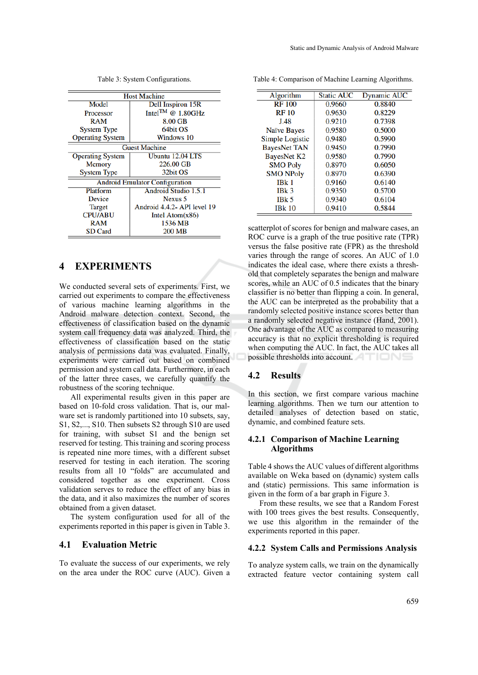| <b>Host Machine</b>                   |                               |  |  |
|---------------------------------------|-------------------------------|--|--|
| Model                                 | Dell Inspiron 15R             |  |  |
| Processor                             | Intel <sup>TM</sup> @ 1.80GHz |  |  |
| RAM                                   | 8.00 GB                       |  |  |
| <b>System Type</b>                    | 64bit OS                      |  |  |
| <b>Operating System</b>               | Windows 10                    |  |  |
| <b>Guest Machine</b>                  |                               |  |  |
| <b>Operating System</b>               | Ubuntu 12.04 LTS              |  |  |
| <b>Memory</b>                         | 226.00 GB                     |  |  |
| <b>System Type</b>                    | 32bit OS                      |  |  |
| <b>Android Emulator Configuration</b> |                               |  |  |
| Platform                              | Android Studio 1.5.1          |  |  |
| Device                                | Nexus 5                       |  |  |
| <b>Target</b>                         | Android 4.4.2- API level 19   |  |  |
| <b>CPU/ABU</b>                        | Intel Atom $(x86)$            |  |  |
| RAM                                   | 1536 MB                       |  |  |
| <b>SD</b> Card                        | 200 MB                        |  |  |

Table 3: System Configurations.

# **4 EXPERIMENTS**

We conducted several sets of experiments. First, we carried out experiments to compare the effectiveness of various machine learning algorithms in the Android malware detection context. Second, the effectiveness of classification based on the dynamic system call frequency data was analyzed. Third, the effectiveness of classification based on the static analysis of permissions data was evaluated. Finally, experiments were carried out based on combined permission and system call data. Furthermore, in each of the latter three cases, we carefully quantify the robustness of the scoring technique.

All experimental results given in this paper are based on 10-fold cross validation. That is, our malware set is randomly partitioned into 10 subsets, say, S1, S2,..., S10. Then subsets S2 through S10 are used for training, with subset S1 and the benign set reserved for testing. This training and scoring process is repeated nine more times, with a different subset reserved for testing in each iteration. The scoring results from all 10 "folds" are accumulated and considered together as one experiment. Cross validation serves to reduce the effect of any bias in the data, and it also maximizes the number of scores obtained from a given dataset.

The system configuration used for all of the experiments reported in this paper is given in Table 3.

#### **4.1 Evaluation Metric**

To evaluate the success of our experiments, we rely on the area under the ROC curve (AUC). Given a

|  |  |  | Table 4: Comparison of Machine Learning Algorithms. |
|--|--|--|-----------------------------------------------------|
|  |  |  |                                                     |

| Algorithm           | <b>Static AUC</b> | <b>Dynamic AUC</b> |
|---------------------|-------------------|--------------------|
| <b>RF100</b>        | 0.9660            | 0.8840             |
| <b>RF10</b>         | 0.9630            | 0.8229             |
| J.48                | 0.9210            | 0.7398             |
| <b>Naïve Bayes</b>  | 0.9580            | 0.5000             |
| Simple Logistic     | 0.9480            | 0.5990             |
| <b>BayesNet TAN</b> | 0.9450            | 0.7990             |
| <b>BayesNet K2</b>  | 0.9580            | 0.7990             |
| <b>SMO Poly</b>     | 0.8970            | 0.6050             |
| <b>SMO NPoly</b>    | 0.8970            | 0.6390             |
| IBk <sub>1</sub>    | 0.9160            | 0.6140             |
| IBk <sub>3</sub>    | 0.9350            | 0.5700             |
| IBk <sub>5</sub>    | 0.9340            | 0.6104             |
| <b>IBk 10</b>       | 0.9410            | 0.5844             |

scatterplot of scores for benign and malware cases, an ROC curve is a graph of the true positive rate (TPR) versus the false positive rate (FPR) as the threshold varies through the range of scores. An AUC of 1.0 indicates the ideal case, where there exists a threshold that completely separates the benign and malware scores, while an AUC of 0.5 indicates that the binary classifier is no better than flipping a coin. In general, the AUC can be interpreted as the probability that a randomly selected positive instance scores better than a randomly selected negative instance (Hand, 2001). One advantage of the AUC as compared to measuring accuracy is that no explicit thresholding is required when computing the AUC. In fact, the AUC takes all possible thresholds into account.

#### **4.2 Results**

In this section, we first compare various machine learning algorithms. Then we turn our attention to detailed analyses of detection based on static, dynamic, and combined feature sets.

#### **4.2.1 Comparison of Machine Learning Algorithms**

Table 4 shows the AUC values of different algorithms available on Weka based on (dynamic) system calls and (static) permissions. This same information is given in the form of a bar graph in Figure 3.

From these results, we see that a Random Forest with 100 trees gives the best results. Consequently, we use this algorithm in the remainder of the experiments reported in this paper.

### **4.2.2 System Calls and Permissions Analysis**

To analyze system calls, we train on the dynamically extracted feature vector containing system call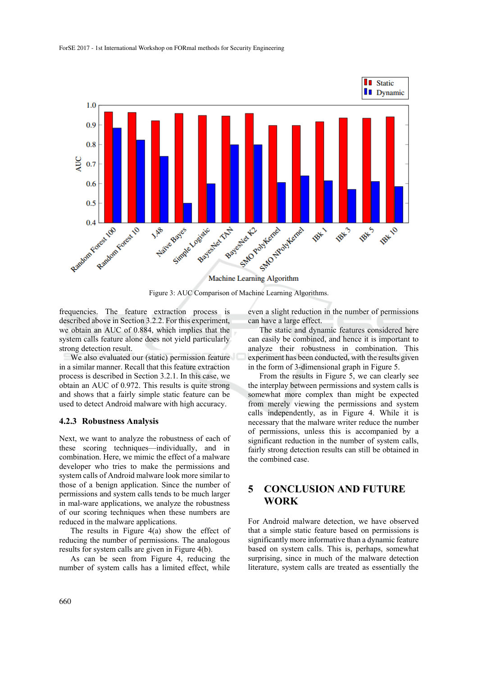

Figure 3: AUC Comparison of Machine Learning Algorithms.

frequencies. The feature extraction process is described above in Section 3.2.2. For this experiment, we obtain an AUC of 0.884, which implies that the system calls feature alone does not yield particularly strong detection result.

We also evaluated our (static) permission feature in a similar manner. Recall that this feature extraction process is described in Section 3.2.1. In this case, we obtain an AUC of 0.972. This results is quite strong and shows that a fairly simple static feature can be used to detect Android malware with high accuracy.

#### **4.2.3 Robustness Analysis**

Next, we want to analyze the robustness of each of these scoring techniques—individually, and in combination. Here, we mimic the effect of a malware developer who tries to make the permissions and system calls of Android malware look more similar to those of a benign application. Since the number of permissions and system calls tends to be much larger in mal-ware applications, we analyze the robustness of our scoring techniques when these numbers are reduced in the malware applications.

The results in Figure 4(a) show the effect of reducing the number of permissions. The analogous results for system calls are given in Figure 4(b).

As can be seen from Figure 4, reducing the number of system calls has a limited effect, while

even a slight reduction in the number of permissions can have a large effect.

The static and dynamic features considered here can easily be combined, and hence it is important to analyze their robustness in combination. This experiment has been conducted, with the results given in the form of 3-dimensional graph in Figure 5.

From the results in Figure 5, we can clearly see the interplay between permissions and system calls is somewhat more complex than might be expected from merely viewing the permissions and system calls independently, as in Figure 4. While it is necessary that the malware writer reduce the number of permissions, unless this is accompanied by a significant reduction in the number of system calls, fairly strong detection results can still be obtained in the combined case.

# **5 CONCLUSION AND FUTURE WORK**

For Android malware detection, we have observed that a simple static feature based on permissions is significantly more informative than a dynamic feature based on system calls. This is, perhaps, somewhat surprising, since in much of the malware detection literature, system calls are treated as essentially the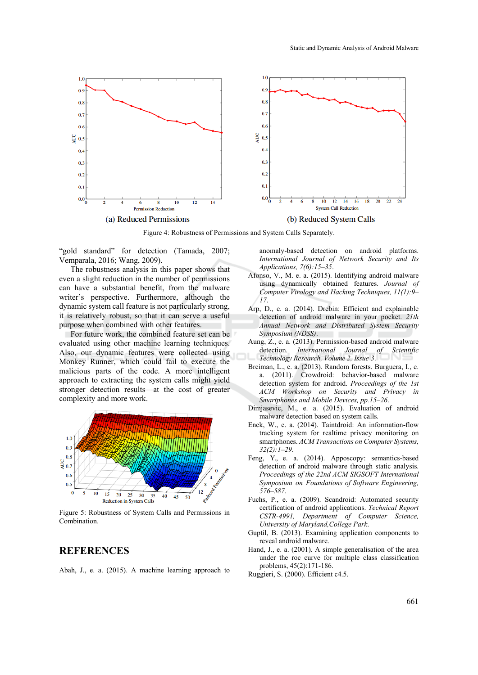

Figure 4: Robustness of Permissions and System Calls Separately.

"gold standard" for detection (Tamada, 2007; Vemparala, 2016; Wang, 2009).

The robustness analysis in this paper shows that even a slight reduction in the number of permissions can have a substantial benefit, from the malware writer's perspective. Furthermore, although the dynamic system call feature is not particularly strong, it is relatively robust, so that it can serve a useful purpose when combined with other features.

For future work, the combined feature set can be evaluated using other machine learning techniques. Also, our dynamic features were collected using Monkey Runner, which could fail to execute the malicious parts of the code. A more intelligent approach to extracting the system calls might yield stronger detection results—at the cost of greater complexity and more work.



Figure 5: Robustness of System Calls and Permissions in Combination.

# **REFERENCES**

Abah, J., e. a. (2015). A machine learning approach to

anomaly-based detection on android platforms. *International Journal of Network Security and Its Applications, 7(6):15–35*.

- Afonso, V., M. e. a. (2015). Identifying android malware using dynamically obtained features. *Journal of Computer Virology and Hacking Techniques, 11(1):9– 17*.
- Arp, D., e. a. (2014). Drebin: Efficient and explainable detection of android malware in your pocket. *21th Annual Network and Distributed System Security Symposium (NDSS)*.
- Aung, Z., e. a. (2013). Permission-based android malware detection. *International Journal of Scientific Technology Research, Volume 2, Issue 3*.
- Breiman, L., e. a. (2013). Random forests. Burguera, I., e. a. (2011). Crowdroid: behavior-based malware detection system for android. *Proceedings of the 1st ACM Workshop on Security and Privacy in Smartphones and Mobile Devices, pp.15–26*.
- Dimjasevic, M., e. a. (2015). Evaluation of android malware detection based on system calls.
- Enck, W., e. a. (2014). Taintdroid: An information-flow tracking system for realtime privacy monitoring on smartphones. *ACM Transactions on Computer Systems, 32(2):1–29*.
- Feng, Y., e. a. (2014). Apposcopy: semantics-based detection of android malware through static analysis. *Proceedings of the 22nd ACM SIGSOFT International Symposium on Foundations of Software Engineering, 576–587*.
- Fuchs, P., e. a. (2009). Scandroid: Automated security certification of android applications. *Technical Report CSTR-4991, Department of Computer Science, University of Maryland,College Park*.
- Guptil, B. (2013). Examining application components to reveal android malware.
- Hand, J., e. a. (2001). A simple generalisation of the area under the roc curve for multiple class classification problems, 45(2):171-186.
- Ruggieri, S. (2000). Efficient c4.5.